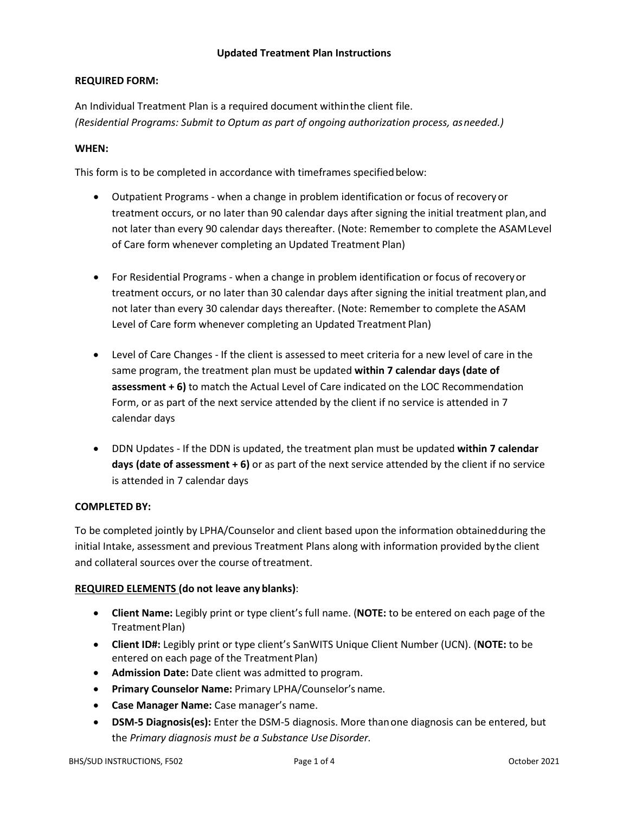#### **Updated Treatment Plan Instructions**

#### **REQUIRED FORM:**

An Individual Treatment Plan is a required document withinthe client file. *(Residential Programs: Submit to Optum as part of ongoing authorization process, asneeded.)*

#### **WHEN:**

This form is to be completed in accordance with timeframes specifiedbelow:

- Outpatient Programs when a change in problem identification or focus of recovery or treatment occurs, or no later than 90 calendar days after signing the initial treatment plan, and not later than every 90 calendar days thereafter. (Note: Remember to complete the ASAMLevel of Care form whenever completing an Updated Treatment Plan)
- For Residential Programs when a change in problem identification or focus of recoveryor treatment occurs, or no later than 30 calendar days after signing the initial treatment plan,and not later than every 30 calendar days thereafter. (Note: Remember to complete the ASAM Level of Care form whenever completing an Updated Treatment Plan)
- Level of Care Changes If the client is assessed to meet criteria for a new level of care in the same program, the treatment plan must be updated **within 7 calendar days (date of assessment + 6)** to match the Actual Level of Care indicated on the LOC Recommendation Form, or as part of the next service attended by the client if no service is attended in 7 calendar days
- DDN Updates If the DDN is updated, the treatment plan must be updated **within 7 calendar days (date of assessment + 6)** or as part of the next service attended by the client if no service is attended in 7 calendar days

# **COMPLETED BY:**

To be completed jointly by LPHA/Counselor and client based upon the information obtainedduring the initial Intake, assessment and previous Treatment Plans along with information provided bythe client and collateral sources over the course oftreatment.

# **REQUIRED ELEMENTS (do not leave any blanks)**:

- **Client Name:** Legibly print or type client's full name. (**NOTE:** to be entered on each page of the Treatment Plan)
- **Client ID#:** Legibly print or type client's SanWITS Unique Client Number (UCN). (**NOTE:** to be entered on each page of the Treatment Plan)
- **Admission Date:** Date client was admitted to program.
- **Primary Counselor Name:** Primary LPHA/Counselor's name.
- **Case Manager Name:** Case manager's name.
- **DSM-5 Diagnosis(es):** Enter the DSM-5 diagnosis. More thanone diagnosis can be entered, but the *Primary diagnosis must be a Substance UseDisorder.*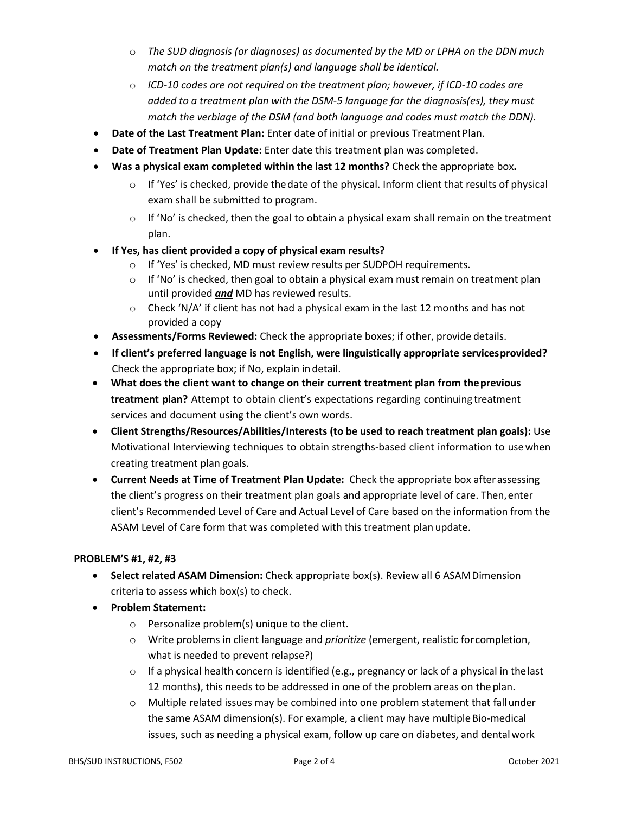- o *The SUD diagnosis (or diagnoses) as documented by the MD or LPHA on the DDN much match on the treatment plan(s) and language shall be identical.*
- o *ICD-10 codes are not required on the treatment plan; however, if ICD-10 codes are added to a treatment plan with the DSM-5 language for the diagnosis(es), they must match the verbiage of the DSM (and both language and codes must match the DDN).*
- **Date of the Last Treatment Plan:** Enter date of initial or previous Treatment Plan.
- **Date of Treatment Plan Update:** Enter date this treatment plan was completed.
- **Was a physical exam completed within the last 12 months?** Check the appropriate box**.** 
	- $\circ$  If 'Yes' is checked, provide the date of the physical. Inform client that results of physical exam shall be submitted to program.
	- $\circ$  If 'No' is checked, then the goal to obtain a physical exam shall remain on the treatment plan.
- **If Yes, has client provided a copy of physical exam results?**
	- o If 'Yes' is checked, MD must review results per SUDPOH requirements.
	- $\circ$  If 'No' is checked, then goal to obtain a physical exam must remain on treatment plan until provided *and* MD has reviewed results.
	- $\circ$  Check 'N/A' if client has not had a physical exam in the last 12 months and has not provided a copy
- **Assessments/Forms Reviewed:** Check the appropriate boxes; if other, provide details.
- **If client's preferred language is not English, were linguistically appropriate servicesprovided?** Check the appropriate box; if No, explain indetail.
- **What does the client want to change on their current treatment plan from theprevious treatment plan?** Attempt to obtain client's expectations regarding continuing treatment services and document using the client's own words.
- **Client Strengths/Resources/Abilities/Interests (to be used to reach treatment plan goals):** Use Motivational Interviewing techniques to obtain strengths-based client information to usewhen creating treatment plan goals.
- **Current Needs at Time of Treatment Plan Update:** Check the appropriate box afterassessing the client's progress on their treatment plan goals and appropriate level of care. Then, enter client's Recommended Level of Care and Actual Level of Care based on the information from the ASAM Level of Care form that was completed with this treatment plan update.

# **PROBLEM'S #1, #2, #3**

- **Select related ASAM Dimension:** Check appropriate box(s). Review all 6 ASAMDimension criteria to assess which box(s) to check.
- **Problem Statement:**
	- o Personalize problem(s) unique to the client.
	- o Write problems in client language and *prioritize* (emergent, realistic forcompletion, what is needed to prevent relapse?)
	- $\circ$  If a physical health concern is identified (e.g., pregnancy or lack of a physical in the last 12 months), this needs to be addressed in one of the problem areas on the plan.
	- $\circ$  Multiple related issues may be combined into one problem statement that fall under the same ASAM dimension(s). For example, a client may have multiple Bio-medical issues, such as needing a physical exam, follow up care on diabetes, and dentalwork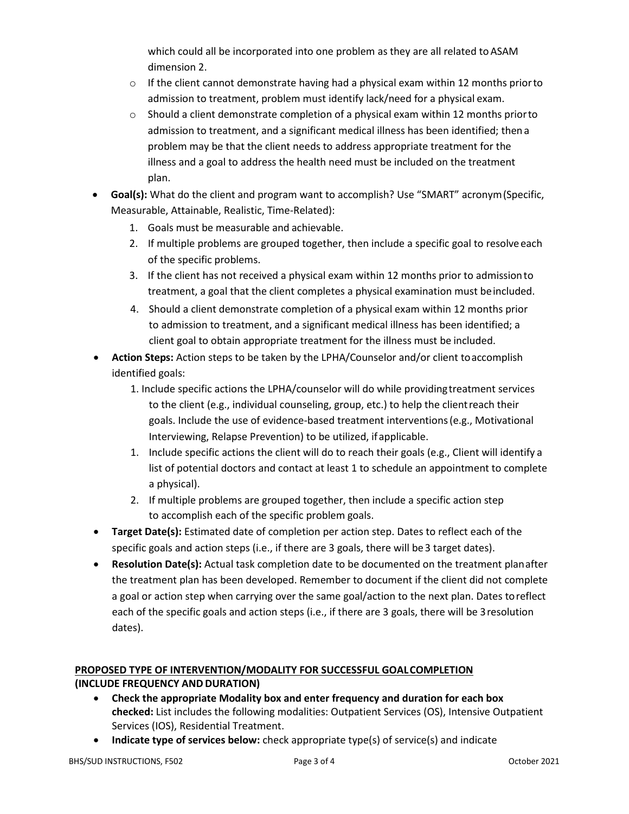which could all be incorporated into one problem as they are all related to ASAM dimension 2.

- o If the client cannot demonstrate having had a physical exam within 12 months priorto admission to treatment, problem must identify lack/need for a physical exam.
- $\circ$  Should a client demonstrate completion of a physical exam within 12 months prior to admission to treatment, and a significant medical illness has been identified; thena problem may be that the client needs to address appropriate treatment for the illness and a goal to address the health need must be included on the treatment plan.
- **Goal(s):** What do the client and program want to accomplish? Use "SMART" acronym(Specific, Measurable, Attainable, Realistic, Time-Related):
	- 1. Goals must be measurable and achievable.
	- 2. If multiple problems are grouped together, then include a specific goal to resolveeach of the specific problems.
	- 3. If the client has not received a physical exam within 12 months prior to admissionto treatment, a goal that the client completes a physical examination must beincluded.
	- 4. Should a client demonstrate completion of a physical exam within 12 months prior to admission to treatment, and a significant medical illness has been identified; a client goal to obtain appropriate treatment for the illness must be included.
- **Action Steps:** Action steps to be taken by the LPHA/Counselor and/or client toaccomplish identified goals:
	- 1. Include specific actions the LPHA/counselor will do while providingtreatment services to the client (e.g., individual counseling, group, etc.) to help the clientreach their goals. Include the use of evidence-based treatment interventions(e.g., Motivational Interviewing, Relapse Prevention) to be utilized, ifapplicable.
	- 1. Include specific actions the client will do to reach their goals (e.g., Client will identify a list of potential doctors and contact at least 1 to schedule an appointment to complete a physical).
	- 2. If multiple problems are grouped together, then include a specific action step to accomplish each of the specific problem goals.
- **Target Date(s):** Estimated date of completion per action step. Dates to reflect each of the specific goals and action steps (i.e., if there are 3 goals, there will be 3 target dates).
- **Resolution Date(s):** Actual task completion date to be documented on the treatment planafter the treatment plan has been developed. Remember to document if the client did not complete a goal or action step when carrying over the same goal/action to the next plan. Dates toreflect each of the specific goals and action steps (i.e., if there are 3 goals, there will be 3resolution dates).

# **PROPOSED TYPE OF INTERVENTION/MODALITY FOR SUCCESSFUL GOALCOMPLETION (INCLUDE FREQUENCY AND DURATION)**

- **Check the appropriate Modality box and enter frequency and duration for each box checked:** List includes the following modalities: Outpatient Services (OS), Intensive Outpatient Services (IOS), Residential Treatment.
- **Indicate type of services below:** check appropriate type(s) of service(s) and indicate